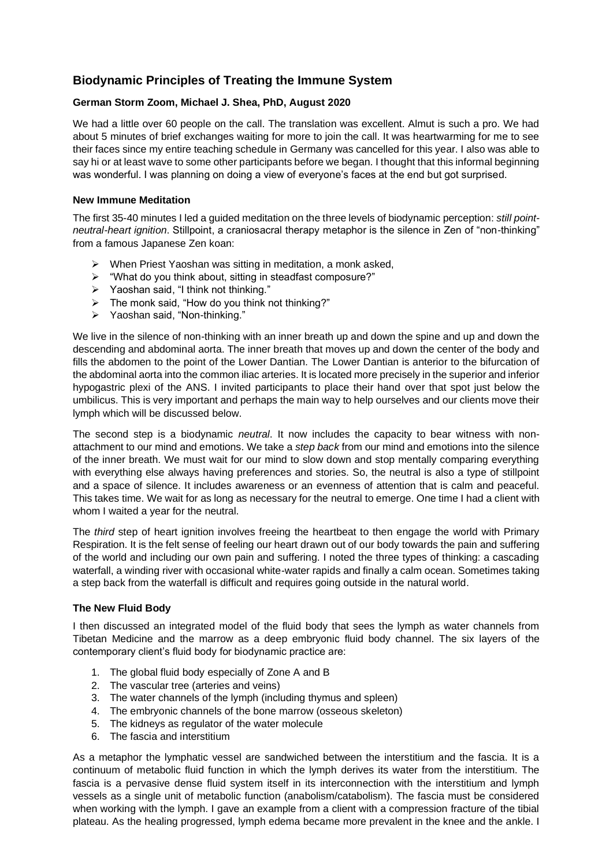# **Biodynamic Principles of Treating the Immune System**

## **German Storm Zoom, Michael J. Shea, PhD, August 2020**

We had a little over 60 people on the call. The translation was excellent. Almut is such a pro. We had about 5 minutes of brief exchanges waiting for more to join the call. It was heartwarming for me to see their faces since my entire teaching schedule in Germany was cancelled for this year. I also was able to say hi or at least wave to some other participants before we began. I thought that this informal beginning was wonderful. I was planning on doing a view of everyone's faces at the end but got surprised.

#### **New Immune Meditation**

The first 35-40 minutes I led a guided meditation on the three levels of biodynamic perception: *still pointneutral-heart ignition*. Stillpoint, a craniosacral therapy metaphor is the silence in Zen of "non-thinking" from a famous Japanese Zen koan:

- ➢ When Priest Yaoshan was sitting in meditation, a monk asked,
- ➢ "What do you think about, sitting in steadfast composure?"
- ➢ Yaoshan said, "I think not thinking."
- $\triangleright$  The monk said, "How do you think not thinking?"
- ➢ Yaoshan said, "Non-thinking."

We live in the silence of non-thinking with an inner breath up and down the spine and up and down the descending and abdominal aorta. The inner breath that moves up and down the center of the body and fills the abdomen to the point of the Lower Dantian. The Lower Dantian is anterior to the bifurcation of the abdominal aorta into the common iliac arteries. It is located more precisely in the superior and inferior hypogastric plexi of the ANS. I invited participants to place their hand over that spot just below the umbilicus. This is very important and perhaps the main way to help ourselves and our clients move their lymph which will be discussed below.

The second step is a biodynamic *neutral*. It now includes the capacity to bear witness with nonattachment to our mind and emotions. We take a *step back* from our mind and emotions into the silence of the inner breath. We must wait for our mind to slow down and stop mentally comparing everything with everything else always having preferences and stories. So, the neutral is also a type of stillpoint and a space of silence. It includes awareness or an evenness of attention that is calm and peaceful. This takes time. We wait for as long as necessary for the neutral to emerge. One time I had a client with whom I waited a year for the neutral.

The *third* step of heart ignition involves freeing the heartbeat to then engage the world with Primary Respiration. It is the felt sense of feeling our heart drawn out of our body towards the pain and suffering of the world and including our own pain and suffering. I noted the three types of thinking: a cascading waterfall, a winding river with occasional white-water rapids and finally a calm ocean. Sometimes taking a step back from the waterfall is difficult and requires going outside in the natural world.

### **The New Fluid Body**

I then discussed an integrated model of the fluid body that sees the lymph as water channels from Tibetan Medicine and the marrow as a deep embryonic fluid body channel. The six layers of the contemporary client's fluid body for biodynamic practice are:

- 1. The global fluid body especially of Zone A and B
- 2. The vascular tree (arteries and veins)
- 3. The water channels of the lymph (including thymus and spleen)
- 4. The embryonic channels of the bone marrow (osseous skeleton)
- 5. The kidneys as regulator of the water molecule
- 6. The fascia and interstitium

As a metaphor the lymphatic vessel are sandwiched between the interstitium and the fascia. It is a continuum of metabolic fluid function in which the lymph derives its water from the interstitium. The fascia is a pervasive dense fluid system itself in its interconnection with the interstitium and lymph vessels as a single unit of metabolic function (anabolism/catabolism). The fascia must be considered when working with the lymph. I gave an example from a client with a compression fracture of the tibial plateau. As the healing progressed, lymph edema became more prevalent in the knee and the ankle. I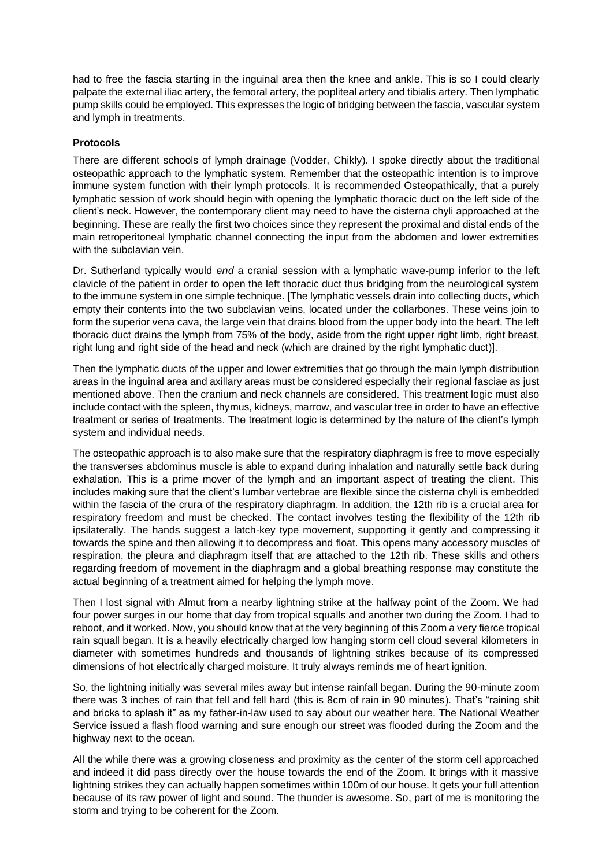had to free the fascia starting in the inguinal area then the knee and ankle. This is so I could clearly palpate the external iliac artery, the femoral artery, the popliteal artery and tibialis artery. Then lymphatic pump skills could be employed. This expresses the logic of bridging between the fascia, vascular system and lymph in treatments.

## **Protocols**

There are different schools of lymph drainage (Vodder, Chikly). I spoke directly about the traditional osteopathic approach to the lymphatic system. Remember that the osteopathic intention is to improve immune system function with their lymph protocols. It is recommended Osteopathically, that a purely lymphatic session of work should begin with opening the lymphatic thoracic duct on the left side of the client's neck. However, the contemporary client may need to have the cisterna chyli approached at the beginning. These are really the first two choices since they represent the proximal and distal ends of the main retroperitoneal lymphatic channel connecting the input from the abdomen and lower extremities with the subclavian vein.

Dr. Sutherland typically would *end* a cranial session with a lymphatic wave-pump inferior to the left clavicle of the patient in order to open the left thoracic duct thus bridging from the neurological system to the immune system in one simple technique. [The lymphatic vessels drain into collecting ducts, which empty their contents into the two subclavian veins, located under the collarbones. These veins join to form the superior vena cava, the large vein that drains blood from the upper body into the heart. The left thoracic duct drains the lymph from 75% of the body, aside from the right upper right limb, right breast, right lung and right side of the head and neck (which are drained by the right lymphatic duct)].

Then the lymphatic ducts of the upper and lower extremities that go through the main lymph distribution areas in the inguinal area and axillary areas must be considered especially their regional fasciae as just mentioned above. Then the cranium and neck channels are considered. This treatment logic must also include contact with the spleen, thymus, kidneys, marrow, and vascular tree in order to have an effective treatment or series of treatments. The treatment logic is determined by the nature of the client's lymph system and individual needs.

The osteopathic approach is to also make sure that the respiratory diaphragm is free to move especially the transverses abdominus muscle is able to expand during inhalation and naturally settle back during exhalation. This is a prime mover of the lymph and an important aspect of treating the client. This includes making sure that the client's lumbar vertebrae are flexible since the cisterna chyli is embedded within the fascia of the crura of the respiratory diaphragm. In addition, the 12th rib is a crucial area for respiratory freedom and must be checked. The contact involves testing the flexibility of the 12th rib ipsilaterally. The hands suggest a latch-key type movement, supporting it gently and compressing it towards the spine and then allowing it to decompress and float. This opens many accessory muscles of respiration, the pleura and diaphragm itself that are attached to the 12th rib. These skills and others regarding freedom of movement in the diaphragm and a global breathing response may constitute the actual beginning of a treatment aimed for helping the lymph move.

Then I lost signal with Almut from a nearby lightning strike at the halfway point of the Zoom. We had four power surges in our home that day from tropical squalls and another two during the Zoom. I had to reboot, and it worked. Now, you should know that at the very beginning of this Zoom a very fierce tropical rain squall began. It is a heavily electrically charged low hanging storm cell cloud several kilometers in diameter with sometimes hundreds and thousands of lightning strikes because of its compressed dimensions of hot electrically charged moisture. It truly always reminds me of heart ignition.

So, the lightning initially was several miles away but intense rainfall began. During the 90-minute zoom there was 3 inches of rain that fell and fell hard (this is 8cm of rain in 90 minutes). That's "raining shit and bricks to splash it" as my father-in-law used to say about our weather here. The National Weather Service issued a flash flood warning and sure enough our street was flooded during the Zoom and the highway next to the ocean.

All the while there was a growing closeness and proximity as the center of the storm cell approached and indeed it did pass directly over the house towards the end of the Zoom. It brings with it massive lightning strikes they can actually happen sometimes within 100m of our house. It gets your full attention because of its raw power of light and sound. The thunder is awesome. So, part of me is monitoring the storm and trying to be coherent for the Zoom.